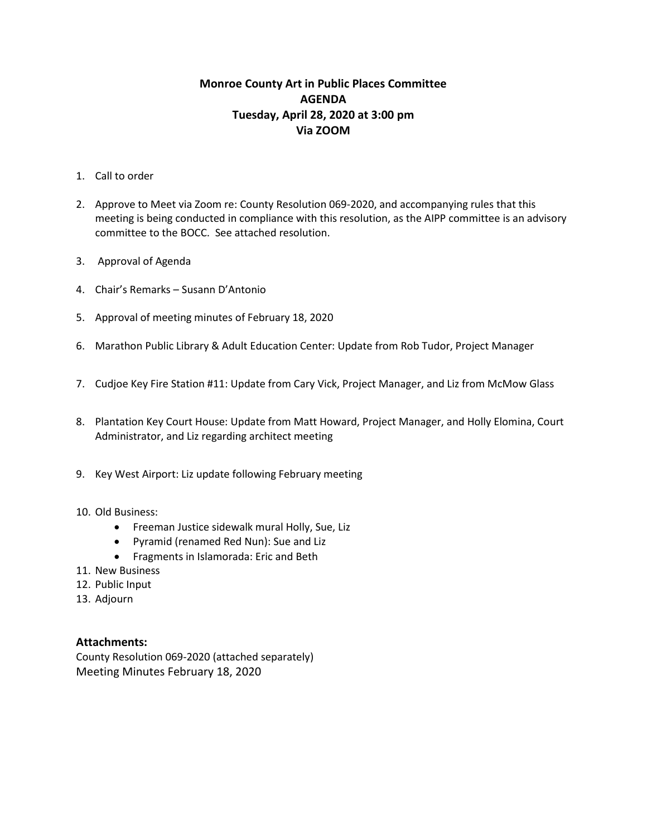# **Monroe County Art in Public Places Committee AGENDA Tuesday, April 28, 2020 at 3:00 pm Via ZOOM**

- 1. Call to order
- 2. Approve to Meet via Zoom re: County Resolution 069-2020, and accompanying rules that this meeting is being conducted in compliance with this resolution, as the AIPP committee is an advisory committee to the BOCC. See attached resolution.
- 3. Approval of Agenda
- 4. Chair's Remarks Susann D'Antonio
- 5. Approval of meeting minutes of February 18, 2020
- 6. Marathon Public Library & Adult Education Center: Update from Rob Tudor, Project Manager
- 7. Cudjoe Key Fire Station #11: Update from Cary Vick, Project Manager, and Liz from McMow Glass
- 8. Plantation Key Court House: Update from Matt Howard, Project Manager, and Holly Elomina, Court Administrator, and Liz regarding architect meeting
- 9. Key West Airport: Liz update following February meeting
- 10. Old Business:
	- Freeman Justice sidewalk mural Holly, Sue, Liz
	- Pyramid (renamed Red Nun): Sue and Liz
	- Fragments in Islamorada: Eric and Beth
- 11. New Business
- 12. Public Input
- 13. Adjourn

### **Attachments:**

County Resolution 069-2020 (attached separately) Meeting Minutes February 18, 2020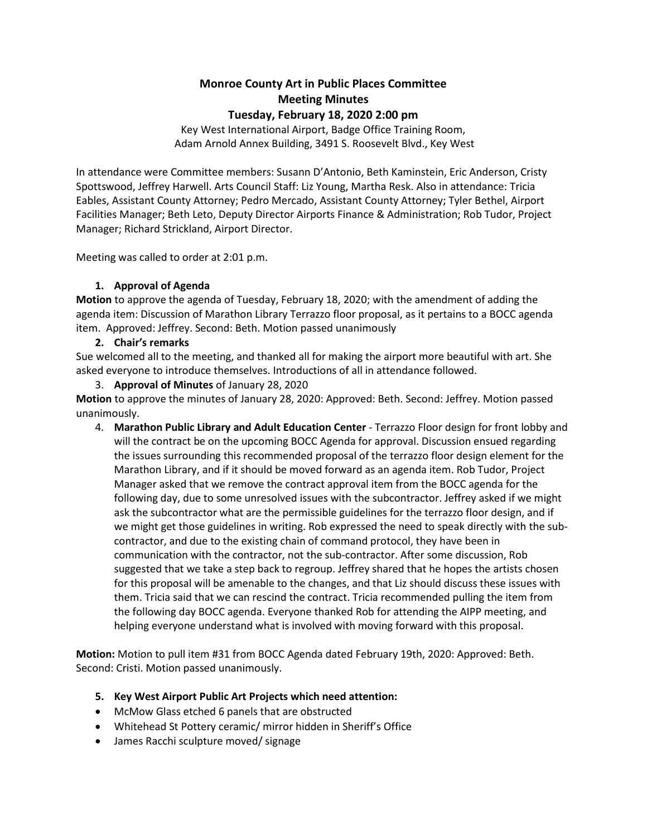## **Monroe County Art in Public Places Committee Meeting Minutes Tuesday, February 18, 2020 2:00 pm**

Key West International Airport, Badge Office Training Room, Adam Arnold Annex Building, 3491 S. Roosevelt Blvd., Key West

In attendance were Committee members: Susann D'Antonio, Beth Kaminstein, Eric Anderson, Cristy Spottswood, Jeffrey Harwell. Arts Council Staff: Liz Young, Martha Resk. Also in attendance: Tricia Eables, Assistant County Attorney; Pedro Mercado, Assistant County Attorney; Tyler Bethel, Airport Facilities Manager; Beth Leto, Deputy Director Airports Finance & Administration; Rob Tudor, Project Manager; Richard Strickland, Airport Director.

Meeting was called to order at 2:01 p.m.

### **1. Approval of Agenda**

**Motion** to approve the agenda of Tuesday, February 18, 2020; with the amendment of adding the agenda item: Discussion of Marathon Library Terrazzo floor proposal, as it pertains to a BOCC agenda item. Approved: Jeffrey. Second: Beth. Motion passed unanimously

### **2. Chair's remarks**

Sue welcomed all to the meeting, and thanked all for making the airport more beautiful with art. She asked everyone to introduce themselves. Introductions of all in attendance followed.

3. **Approval of Minutes** of January 28, 2020

**Motion** to approve the minutes of January 28, 2020: Approved: Beth. Second: Jeffrey. Motion passed unanimously.

4. **Marathon Public Library and Adult Education Center** - Terrazzo Floor design for front lobby and will the contract be on the upcoming BOCC Agenda for approval. Discussion ensued regarding the issues surrounding this recommended proposal of the terrazzo floor design element for the Marathon Library, and if it should be moved forward as an agenda item. Rob Tudor, Project Manager asked that we remove the contract approval item from the BOCC agenda for the following day, due to some unresolved issues with the subcontractor. Jeffrey asked if we might ask the subcontractor what are the permissible guidelines for the terrazzo floor design, and if we might get those guidelines in writing. Rob expressed the need to speak directly with the subcontractor, and due to the existing chain of command protocol, they have been in communication with the contractor, not the sub-contractor. After some discussion, Rob suggested that we take a step back to regroup. Jeffrey shared that he hopes the artists chosen for this proposal will be amenable to the changes, and that Liz should discuss these issues with them. Tricia said that we can rescind the contract. Tricia recommended pulling the item from the following day BOCC agenda. Everyone thanked Rob for attending the AIPP meeting, and helping everyone understand what is involved with moving forward with this proposal.

**Motion:** Motion to pull item #31 from BOCC Agenda dated February 19th, 2020: Approved: Beth. Second: Cristi. Motion passed unanimously.

#### **5. Key West Airport Public Art Projects which need attention:**

- McMow Glass etched 6 panels that are obstructed
- Whitehead St Pottery ceramic/ mirror hidden in Sheriff's Office
- James Racchi sculpture moved/ signage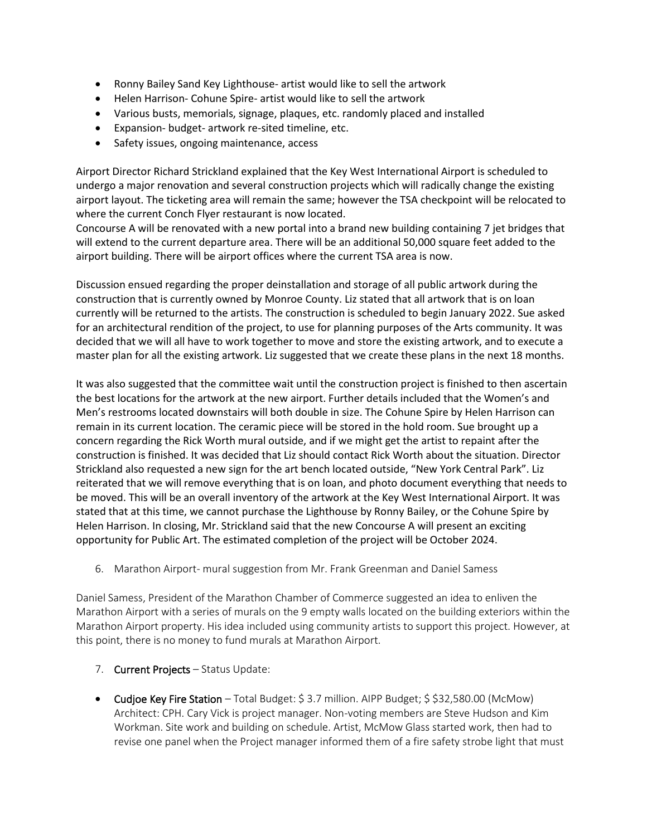- Ronny Bailey Sand Key Lighthouse- artist would like to sell the artwork
- Helen Harrison- Cohune Spire- artist would like to sell the artwork
- Various busts, memorials, signage, plaques, etc. randomly placed and installed
- Expansion- budget- artwork re-sited timeline, etc.
- Safety issues, ongoing maintenance, access

Airport Director Richard Strickland explained that the Key West International Airport is scheduled to undergo a major renovation and several construction projects which will radically change the existing airport layout. The ticketing area will remain the same; however the TSA checkpoint will be relocated to where the current Conch Flyer restaurant is now located.

Concourse A will be renovated with a new portal into a brand new building containing 7 jet bridges that will extend to the current departure area. There will be an additional 50,000 square feet added to the airport building. There will be airport offices where the current TSA area is now.

Discussion ensued regarding the proper deinstallation and storage of all public artwork during the construction that is currently owned by Monroe County. Liz stated that all artwork that is on loan currently will be returned to the artists. The construction is scheduled to begin January 2022. Sue asked for an architectural rendition of the project, to use for planning purposes of the Arts community. It was decided that we will all have to work together to move and store the existing artwork, and to execute a master plan for all the existing artwork. Liz suggested that we create these plans in the next 18 months.

It was also suggested that the committee wait until the construction project is finished to then ascertain the best locations for the artwork at the new airport. Further details included that the Women's and Men's restrooms located downstairs will both double in size. The Cohune Spire by Helen Harrison can remain in its current location. The ceramic piece will be stored in the hold room. Sue brought up a concern regarding the Rick Worth mural outside, and if we might get the artist to repaint after the construction is finished. It was decided that Liz should contact Rick Worth about the situation. Director Strickland also requested a new sign for the art bench located outside, "New York Central Park". Liz reiterated that we will remove everything that is on loan, and photo document everything that needs to be moved. This will be an overall inventory of the artwork at the Key West International Airport. It was stated that at this time, we cannot purchase the Lighthouse by Ronny Bailey, or the Cohune Spire by Helen Harrison. In closing, Mr. Strickland said that the new Concourse A will present an exciting opportunity for Public Art. The estimated completion of the project will be October 2024.

6. Marathon Airport- mural suggestion from Mr. Frank Greenman and Daniel Samess

Daniel Samess, President of the Marathon Chamber of Commerce suggested an idea to enliven the Marathon Airport with a series of murals on the 9 empty walls located on the building exteriors within the Marathon Airport property. His idea included using community artists to support this project. However, at this point, there is no money to fund murals at Marathon Airport.

- 7. Current Projects Status Update:
- Cudjoe Key Fire Station Total Budget: \$ 3.7 million. AIPP Budget; \$ \$32,580.00 (McMow) Architect: CPH. Cary Vick is project manager. Non-voting members are Steve Hudson and Kim Workman. Site work and building on schedule. Artist, McMow Glass started work, then had to revise one panel when the Project manager informed them of a fire safety strobe light that must